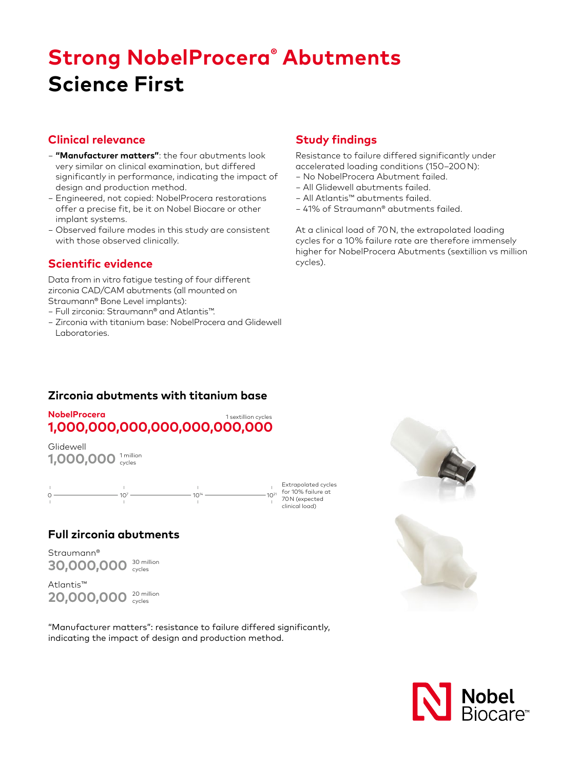# **Strong NobelProcera® Abutments Science First**

#### **Clinical relevance**

- − **"Manufacturer matters"**: the four abutments look very similar on clinical examination, but differed significantly in performance, indicating the impact of design and production method.
- − Engineered, not copied: NobelProcera restorations offer a precise fit, be it on Nobel Biocare or other implant systems.
- − Observed failure modes in this study are consistent with those observed clinically.

# **Scientific evidence**

Data from in vitro fatigue testing of four different zirconia CAD/CAM abutments (all mounted on Straumann® Bone Level implants):

- − Full zirconia: Straumann® and Atlantis™.
- − Zirconia with titanium base: NobelProcera and Glidewell Laboratories.

# **Study findings**

Resistance to failure differed significantly under accelerated loading conditions (150–200N):

- − No NobelProcera Abutment failed.
- − All Glidewell abutments failed.
- − All Atlantis™ abutments failed.
- − 41% of Straumann® abutments failed.

At a clinical load of 70N, the extrapolated loading cycles for a 10% failure rate are therefore immensely higher for NobelProcera Abutments (sextillion vs million cycles).

# **Zirconia abutments with titanium base**

#### **NobelProcera 1,000,000,000,000,000,000,000** 1 sextillion cycles

1,000,000<sup>1 million</sup> Glidewell



# **Full zirconia abutments**

Straumann® 30,000,000<sup>30 million</sup>

Atlantis™ 20,000,000<sup>20 million</sup>

"Manufacturer matters": resistance to failure differed significantly, indicating the impact of design and production method.